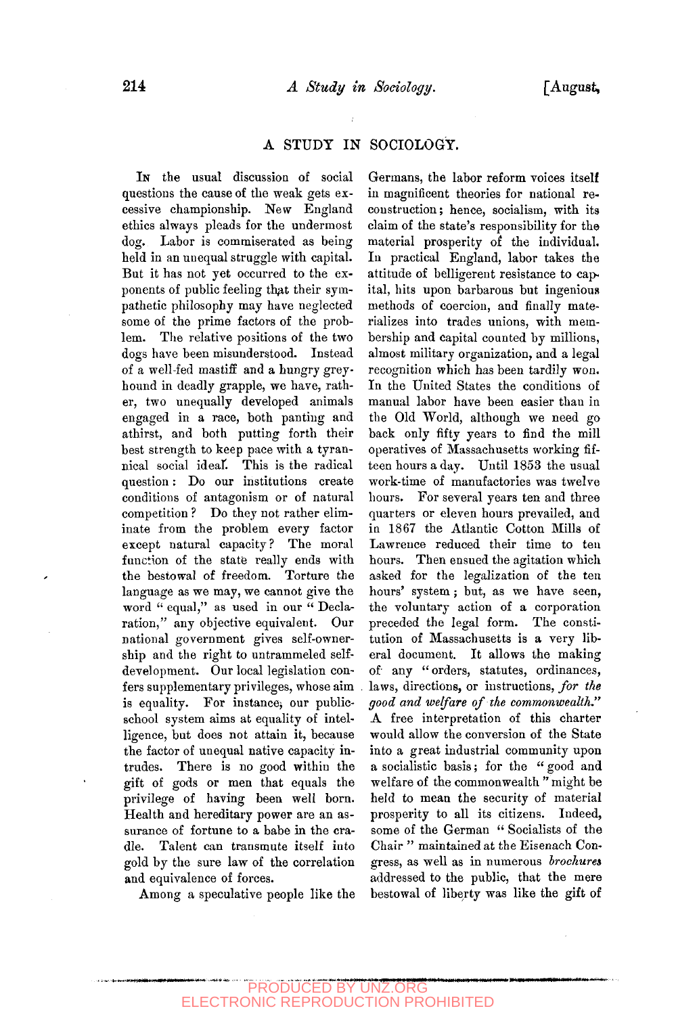## A STUDY IN SOCIOLOGY.

IN the usual discussion of social questions the cause of the weak gets excessive championship. New England ethics always pleads for the undermost dog. Labor is commiserated as being held in an unequal struggle with capital. But it has not yet occurred to the exponents of public feeling that their sympathetic philosophy may have neglected some of the prime factors of the problem. The relative positions of the two dogs have been misunderstood. Instead of a well-fed mastiff and a hungry greyhound in deadly grapple, we have, rather, two unequally developed animals engaged in a race, both panting and athirst, and both putting forth their best strength to keep pace with a tyrannical social ideaK This is the radical question: Do our institutions create conditions of antagonism or of natural competition ? Do they not rather eliminate from the problem every factor  $\frac{1}{2}$  and  $\frac{1}{2}$   $\frac{1}{2}$   $\frac{1}{2}$   $\frac{1}{2}$   $\frac{1}{2}$   $\frac{1}{2}$   $\frac{1}{2}$   $\frac{1}{2}$   $\frac{1}{2}$   $\frac{1}{2}$   $\frac{1}{2}$   $\frac{1}{2}$   $\frac{1}{2}$   $\frac{1}{2}$   $\frac{1}{2}$   $\frac{1}{2}$   $\frac{1}{2}$   $\frac{1}{2}$   $\frac{1}{2}$   $\frac{1}{2}$   $\frac{1}{2$ except hattaal capacity: The moral function of the state really ends with<br>the bestowal of freedom. Torture the language as we may, we cannot give the ranguage as we may, we cannot give the word equal, as used in our Declaration," any objective equivalent. Our national government gives self-ownership and the right to untrammeled selfdevelopment. Our local legislation confers supplementary privileges, whose aim is equality. For instance, our publicschool system aims at equality of intelligence, but does not attain it, because the factor of unequal native capacity intrudes. There is no good within the gift of gods or men that equals the privilege of having been well born. Health and hereditary power are an assurance of fortune to a babe in the cradle. Talent can transmute itself into gold by the sure law of the correlation and equivalence of forces.

Among a speculative people like the

Germans, the labor reform voices itself in magnificent theories for national reconstruction ; hence, socialism, with its claim of the state's responsibility for the material prosperity of the individual. In practical England, labor takes the attitude of belligerent resistance to capital, hits upon barbarous but ingenious methods of coercion, and finally materializes into trades unions, with membership and capital counted by millions, almost military organization, and a legal recognition which has been tardily won. In the United States the conditions of manual labor have been easier than in the Old World, although we need go back only fifty years to find the mill operatives of Massachusetts working fifteen hours a day. Until 1853 the usual work-time of manufactories was twelve hours. For several years ten and three quarters or eleven hours prevailed, and in 1867 the Atlantic Cotton Mills of Lawrence reduced their time to ten hours. Then ensued the agitation which asked for the legalization of the ten hours' system ; but, as we have seen, the voluntary action of a corporation preceded the legal form. The constitution of Massachusetts is a very liberal document. It allows the making of any " orders, statutes, ordinances, laws, directions, or instructions, *for the*  laws, directions, or instructions, for the good and welfare of the commonwealth." A free interpretation of this charter would allow the conversion of the State into a great industrial community upon a socialistic basis; for the "good and welfare of the commonwealth "might be held to mean the security of material prosperity to all its citizens. Indeed, some of the German " Socialists of the Chair " maintained at the Eisenach Congress, as well as in numerous *brochures* addressed to the public, that the mere<br>bestowal of liberty was like the gift of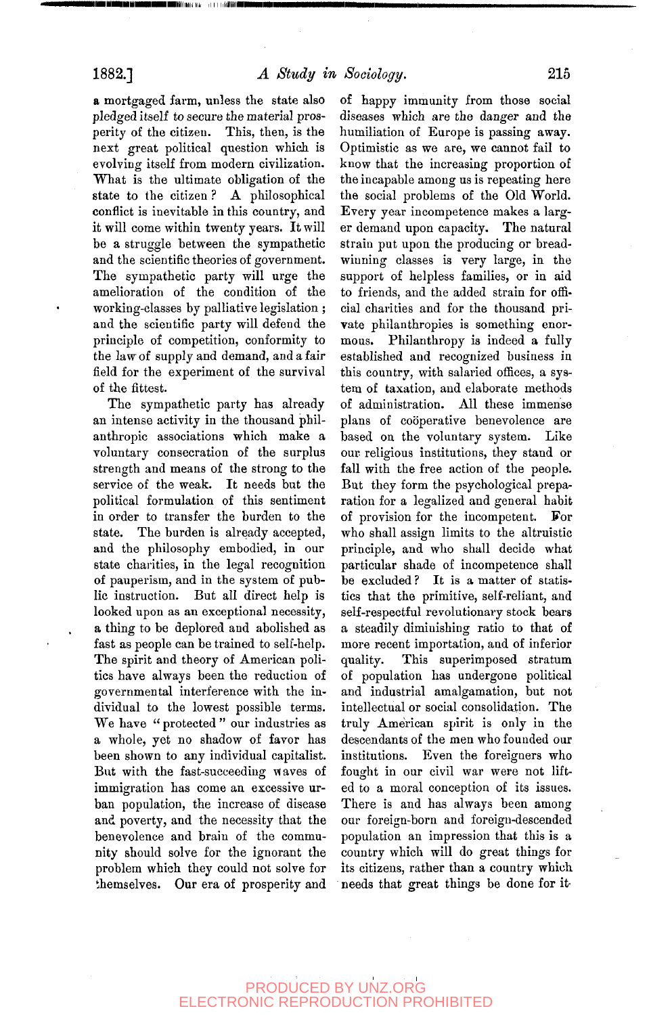a mortgaged farm, unless the state also pledged itself to secure the material prosperity of the citizen. This, then, is the next great political question which is evolving itself from modern civilization. What is the ultimate obligation of the state to the citizen ? A philosophical conflict is inevitable in this country, and it will come within twenty years. It will be a struggle between the sympathetic and the scientific theories of government. The sympathetic party will urge the amelioration of the condition of the working-classes by palliative legislation ; and the scientific party will defend the principle of competition, conformity to the law of supply and demand, and a fair field for the experiment of the survival of the fittest.

The sympathetic party has already an intense activity in the thousand philanthropic associations which make a voluntary consecration of the surplus strength and means of the strong to the service of the weak. It needs but the political formulation of this sentiment in order to transfer the burden to the state. The burden is already accepted, and the philosophy embodied, in our state charities, in the legal recognition of pauperism, and in the system of public instruction. But all direct help is looked upon as an exceptional necessity, a thing to be deplored and abolished as fast as people can be trained to self-help. The spirit and theory of American politics have always been the reduction of governmental interference with the individual to the lowest possible terms. We have " protected " our industries as a whole, yet no shadow of favor has been shown to any individual capitalist. But with the fast-succeeding waves of immigration has come an excessive urban population, the increase of disease and poverty, and the necessity that the benevolence and brain of the community should solve for the ignorant the problem which they could not solve for themselves. Our era of prosperity and

of happy immunity from those social diseases which are the danger and the humiliation of Europe is passing away. Optimistic as we are, we cannot fail to know that the increasing proportion of the incapable among us is repeating here the social problems of the Old World. Every year incompetence makes a larger demand upon capacity. The natural strain put upon the producing or breadwinning classes is very large, in the support of helpless families, or in aid to friends, and the added strain for official charities and for the thousand private philanthropies is something enormous. Philanthropy is indeed a fully established and recognized business in this country, with salaried offices, a system of taxation, and elaborate methods of administration. All these immense plans of coöperative benevolence are based on the voluntary system. Like our religious institutions, they stand or fall with the free action of the people. an with the nee action of the people. but they form the psychological preparation for a legalized and general habit<br>of provision for the incompetent. For of provision for the incompetent. For who shall assign finite to the attribute principle, and who shall decide what particular shade of incompetence shall be excluded? It is a matter of statistics that the primitive, self-reliant, and self-respectful revolutionary stock bears a steadily diminishing ratio to that of more recent importation, and of inferior<br>quality. This superimposed stratum This superimposed stratum of population has undergone political and industrial amalgamation, but not intellectual or social consolidation. The truly American spirit is only in the descendants of the men who founded our institutions. Even the foreigners who fought in our civil war were not lifted to a moral conception of its issues. There is and has always been among our foreign-born and foreign-descended population an impression that this is a country which will do great things for its citizens, rather than a country which needs that great things be done for it

## PRODUCED BY UNZ.ORG ELECTRONIC REPRODUCTION PROHIBITED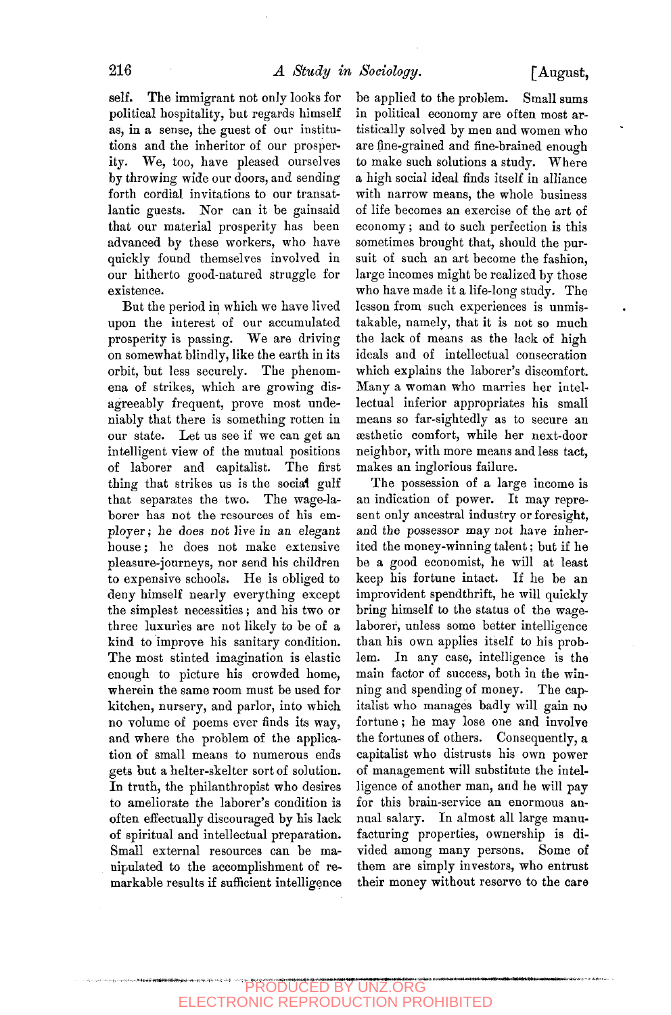self. The immigrant not only looks for political hospitality, but regards himself as, in a sense, the guest of our institutions and the inheritor of our prosperity. We, too, have pleased ourselves by throwing wide our doors, and sending forth cordial invitations to our transatlantic guests. Nor can it be gainsaid that our material prosperity has been advanced by these workers, who have quickly found themselves involved in our hitherto good-natured struggle for existence.

But the period in which we have lived upon the interest of our accumulated prosperity is passing. We are driving on somewhat blindly, like the earth in its orbit, but less securely. The phenomena of strikes, which are growing disagreeably frequent, prove most undeniably that there is something rotten in our state. Let us see if we can get an intelligent view of the mutual positions of laborer and capitalist. The first thing that strikes us is the social gulf that separates the two. The wage-laborer has not the resources of his employer ; he does not live in an elegant house; he does not make extensive pleasure-journeys, nor send his children to expensive schools. He is obliged to deny himself nearly everything except the simplest necessities ; and his two or three luxuries are not likely to be of a kind to improve his sanitary condition. The most stinted imagination is elastic enough to picture his crowded home, wherein the same room must be used for kitchen, nursery, and parlor, into which no volume of poems ever finds its way, and where the problem of the application of small means to numerous ends gets but a helter-skelter sort of solution. In truth, the philanthropist who desires to ameliorate the laborer's condition is often effectually discouraged by his lack of spiritual and intellectual preparation. Small external resources can be manipulated to the accomplishment of remarkable results if sufficient intelligence

be applied to the problem. Small sums in political economy are often most artistically solved by men and women who are fine-grained and fine-brained enough to make such solutions a study. Where a high social ideal finds itself in alliance with narrow means, the whole business of life becomes an exercise of the art of economy; and to such perfection is this sometimes brought that, should the pursuit of such an art become the fashion, large incomes might be realized by those who have made it a life-long study. The lesson from such experiences is unmistakable, namely, that it is not so much the lack of means as the lack of high ideals and of intellectual consecration which explains the laborer's discomfort. Many a woman who marries her intellectual inferior appropriates his small means so far-sightedly as to secure an sesthetio comfort, while her next-door neighbor, with more means and less tact, makes an inglorious failure.

The possession of a large income is an indication of power. It may represent only ancestral industry or foresight, and the possessor may not have inherited the money-winning talent; but if he be a good economist, he will at least keep his fortune intact. If he be an improvident spendthrift, he will quickly bring himself to the status of the wagelaborer, unless some better intelligence than his own applies itself to his problem. In any case, intelligence is the main factor of success, both in the winning and spending of money. The capitalist who manages badly will gain no fortune; he may lose one and involve the fortunes of others. Consequently, a capitalist who distrusts his own power of management will substitute the intelligence of another man, and he will pay for this brain-service an enormous annual salary. In almost all large manufacturing properties, ownership is divided among many persons. Some of them are simply investors, who entrust their money without reserve to the care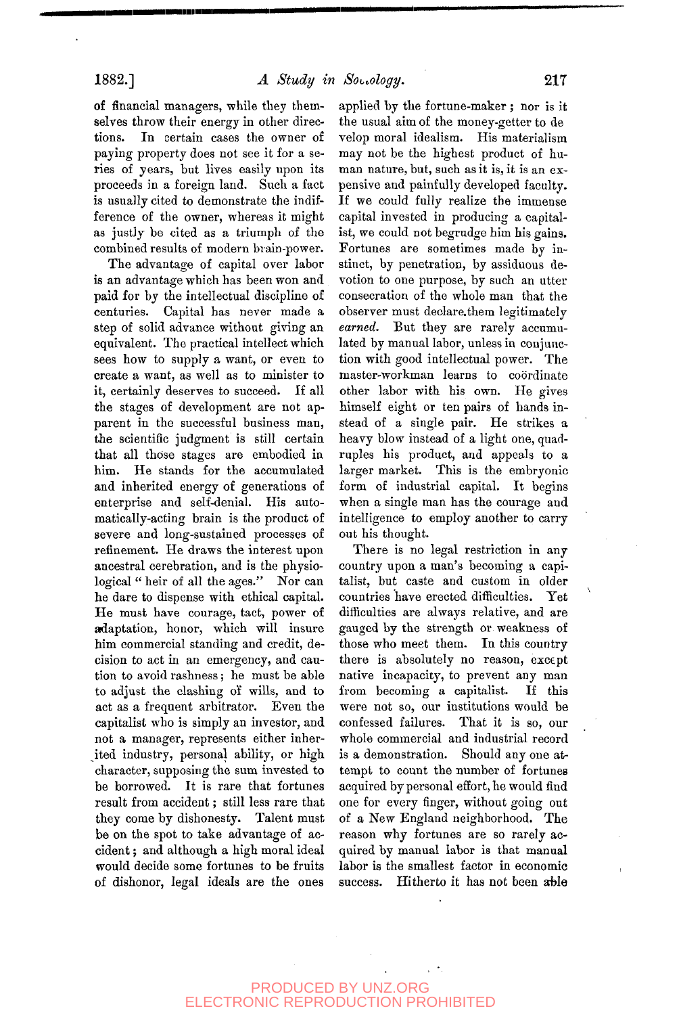of financial managers, while they themselves throw their energy in other directions. In certain cases the owner of paying property does not see it for a series of years, but lives easily upon its proceeds in a foreign land. Such a fact is usually cited to demonstrate the indifference of the owner, whereas it might as justly be cited as a triumph of the combined results of modern brain-power.

The advantage of capital over labor is an advantage which has been won and paid for by the intellectual discipline of centuries. Capital has never made a step of solid advance without giving an equivalent. The practical intellect which sees how to supply a want, or even to create a want, as well as to minister to it, certainly deserves to succeed. If all the stages of development are not apparent in the successful business man, the scientific judgment is still certain that all those stages are embodied in him. He stands for the accumulated and inherited energy of generations of enterprise and self-denial. His automatically-acting brain is the product of severe and long-sustained processes of refinement. He draws the interest upon ancestral cerebration, and is the physiological " heir of all the ages." Nor can he dare to dispense with ethical capital. He must have courage, tact, power of adaptation, honor, which will insure him commercial standing and credit, decision to act in an emergency, and caution to avoid rashness ; he must be able to adjust the clashing of wills, and to act as a frequent arbitrator. Even the capitalist who is simply an investor, and not a manager, represents either inherited industry, personal ability, or high character, supposing the sum invested to be borrowed. It is rare that fortunes result from accident; still less rare that they come by dishonesty. Talent must be on the spot to take advantage of accident ; and although a high moral ideal would decide some fortunes to be fruits of dishonor, legal ideals are the ones applied by the fortune-maker ; nor is it the usual aim of the money-getter to de velop moral idealism. His materialism may not be the highest product of human nature, but, such as it is, it is an expensive and painfully developed faculty. If we could fully realize the immense capital invested in producing a capitalist, we could not begrudge him his gains. Fortunes are sometimes made by instinct, by penetration, by assiduous devotion to one purpose, by such an utter consecration of the whole man that the observer must deolare.them legitimately *earned.* But they are rarely accumulated by manual labor, unless in conjunction with good intellectual power. The master-workman learns to coordinate other labor with his own. He gives himself eight or ten pairs of hands instead of a single pair. He strikes a heavy blow instead of a light one, quadruples his product, and appeals to a larger market. This is the embryonic form of industrial capital. It begins when a single man has the courage and intelligence to employ another to carry out his thought.

There is no legal restriction in any country upon a man's becoming a capitalist, but caste and custom in older countries have erected difficulties. Yet difficulties are always relative, and are gauged by the strength or weakness of those who meet them. In this country there is absolutely no reason, except native incapacity, to prevent any man from becoming a capitalist. If this were not so, our institutions would be confessed failures. That it is so, our whole commercial and industrial record is a demonstration. Should any one attempt to count the number of fortunes acquired by personal effort, he would find one for every finger, without going out of a New England neighborhood. The reason why fortunes are so rarely acquired by manual labor is that manual labor is the smallest factor in economic success. Hitherto it has not been able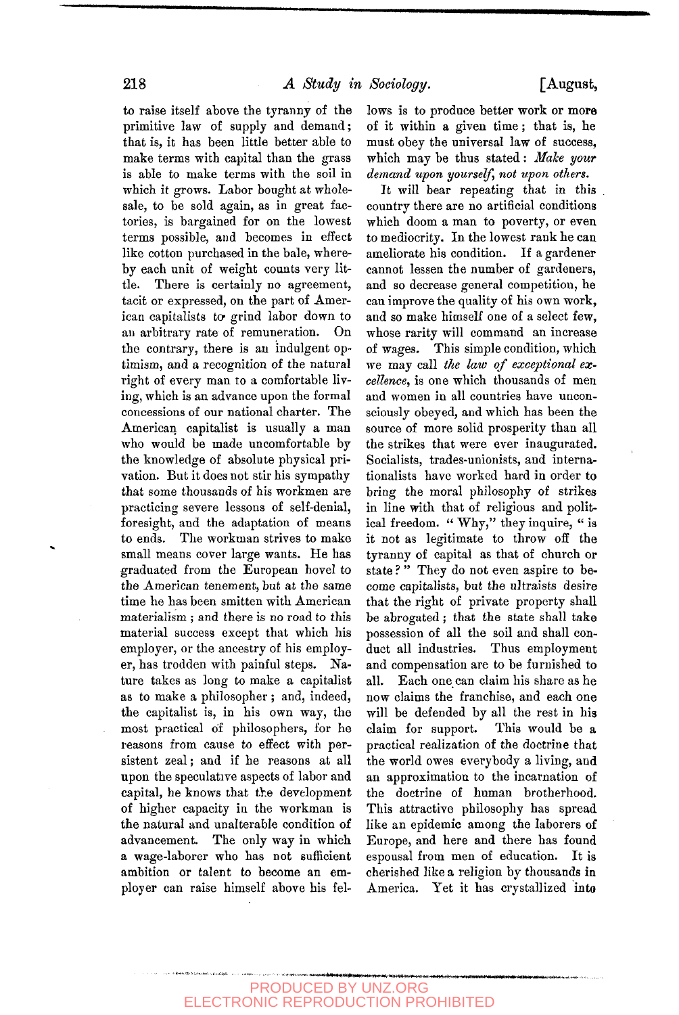to raise itself above the tyranny of the primitive law of supply and demand; that is, it has been little better able to make terms with capital than the grass is able to make terms with the soil in which it grows. Labor bought at wholesale, to be sold again, as in great factories, is bargained for on the lowest terms possible, and becomes in effect like cotton purchased in the bale, whereby each unit of weight counts very little. There is certainly no agreement, tacit or expressed, on the part of American capitalists to- grind labor down to an arbitrary rate of remuneration. On the contrary, there is an indulgent optimism, and a recognition of the natural right of every man to a comfortable living, which is an advance upon the formal concessions of our national charter. The American capitalist is usually a man who would be made uncomfortable by the knowledge of absolute physical privation. But it does not stir his sympathy that some thousands of his workmen are practicing severe lessons of self-denial, foresight, and the adaptation of means to ends. The workman strives to make small means cover large wants. He has graduated from the European hovel to the American tenement, but at the same time he has been smitten with American materialism ; and there is no road to this material success except that which his employer, or the ancestry of his employer, has trodden with painful steps. Nature takes as long to make a capitalist as to make a philosopher ; and, indeed, the capitalist is, in his own way, the most practical of philosophers, for he reasons from cause to effect with persistent zeal; and if he reasons at all upon the speculative aspects of labor and capital, he knows that the development of higher capacity in the workman is the natural and unalterable condition of advancement. The only way in which a wage-laborer who has not sufficient ambition or talent to become an employer can raise himself above his fel-

lows is to produce better work or more of it within a given time; that is, he must obey the universal law of success, which may be thus stated: *Mdlce your demand upon yourself, not upon others.* 

It will bear repeating that in this country there are no artificial conditions which doom a man to poverty, or even to mediocrity. In the lowest rank he can ameliorate his condition. If a gardener cannot lessen the number of gardeners, and so decrease general competition, he can improve the quality of his own work, and so make himself one of a select few, whose rarity will command an increase of wages. This simple condition, which we may call *the law of exceptional excellence,* is one which thousands of men and women in all countries have unconsciously obeyed, and which has been the source of more solid prosperity than all the strikes that were ever inaugurated. Socialists, trades-unionists, and internationalists have worked hard in order to bring the moral philosophy of strikes in line with that of religious and political freedom. " Why," they inquire, " is it not as legitimate to throw off the tyranny of capital as that of church or state?" They do not even aspire to become capitalists, but the ultraists desire that the right of private property shall be abrogated; that the state shall take possession of all the soil and shall conduct all industries. Thus employment and compensation are to be furnished to all. Each one can claim his share as he now claims the franchise, and each one will be defended by all the rest in his claim for support. This would be a practical realization of the doctrine that the world owes everybody a living, and an approximation to the incarnation of the doctrine of human brotherhood. This attractive philosophy has spread like an epidemic among the laborers of Europe, and here and there has found espousal from men of education. It is cherished like a religion by thousands in America. Yet it has crystallized into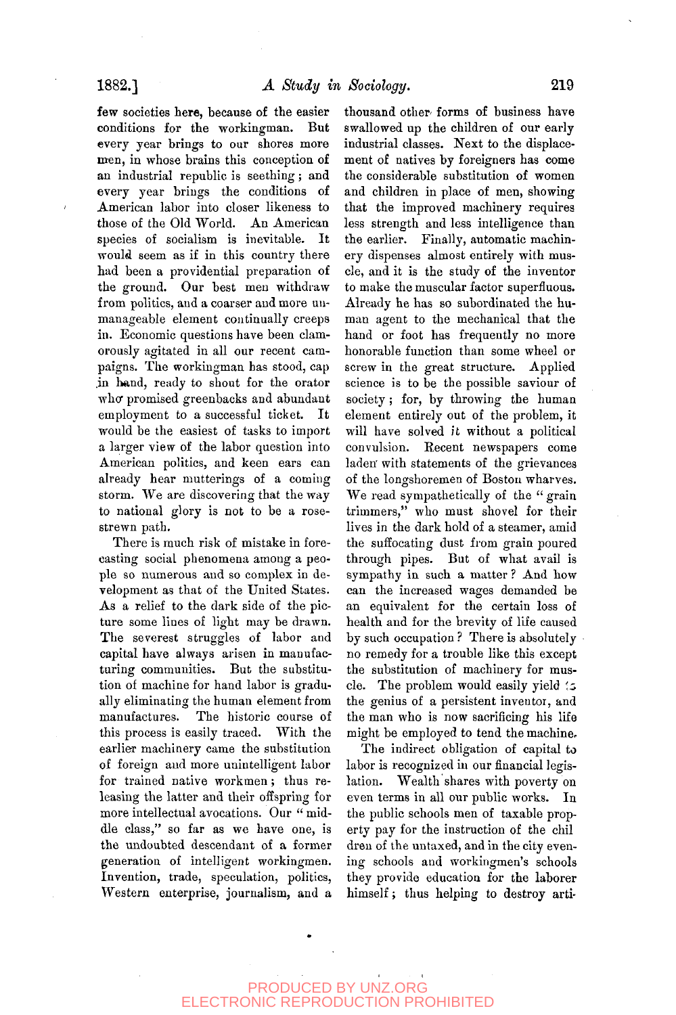**few** societies here, because of the easier conditions for the workingman. But every year brings to our shores more men, in whose brains this conception of an industrial republic is seething; and every year brings the conditions of American labor into closer likeness to those of the Old World. An American species of socialism is inevitable. It would seem as if in this country there had been a providential preparation of the ground. Our best men withdraw from politics, and a coarser and more unmanageable element continually creeps in. Economic questions have been clamorously agitated in all our recent campaigns. The workingman has stood, cap .in hand, ready to shout for the orator who promised greenbacks and abundant employment to a successful ticket. It would be the easiest of tasks to import a larger view of the labor question into American politics, and keen ears can already hear mutterings of a coming storm. We are discovering that the way storm. We are used vering that the way w nauvnal<sub>3</sub>

There is much risk of mistake in forecasting social phenomena among a people so numerous and so complex in development as that of the United States. As a relief to the dark side of the picture some lines of light may be drawn. The severest struggles of labor and capital have always arisen in manufacturing communities. But the substitution of machine for hand labor is gradually eliminating the human element from manufactures. The historic course of this process is easily traced. With the earlier machinery came the substitution of foreign aud more unintelligent labor for trained native workmen; thus releasing the latter and their offspring for more intellectual avocations. Our "middle class," so far as we have one, is the undoubted descendant of a former generation of intelligent workingmen. Invention, trade, speculation, politics. Western enterprise, journalism, and a

thousand other forms of business have swallowed up the children of our early industrial classes. Next to the displacement of natives by foreigners has come the considerable substitution of women and children in place of men, showing that the improved machinery requires less strength and less intelligence than the earlier. Finally, automatic machinery dispenses almost entirely with muscle, and it is the study of the inventor to make the muscular factor superfluous. Already he has so subordinated the human agent to the mechanical that the hand or foot has frequently no more honorable function than some wheel or screw in the great structure. Applied science is to be the possible saviour of society; for, by throwing the human element entirely out of the problem, it will have solved it without a political convulsion. Recent newspapers come laden' with statements of the grievances of the longshoremen of Boston wharves. We read sympathetically of the "grain" trimmers," who must shovel for their lives in the dark hold of a steamer, amid the suffocating dust from grain poured through pipes. But of what avail is sympathy in such a matter ? And how can the increased wages demanded be an equivalent for the certain loss of health and for the brevity of life caused by such occupation ? There is absolutely no remedy for a trouble like this except the substitution of machinery for muscle. The problem would easily yield 's the genius of a persistent inventor, and the man who is now sacrificing his life might be employed to tend the machine-

The indirect obligation of capital to labor is recognized in our financial legislation. Wealth shares with poverty on even terms in all our public works. In the public schools men of taxable property pay for the instruction of the chil dreu of the untaxed, and in the city evening schools and workingmen's schools they provide education for the laborer himself; thus helping to destroy arti-

PRODUCED BY UNZ.ORG ELECTRONIC REPRODUCTION PROHIBITED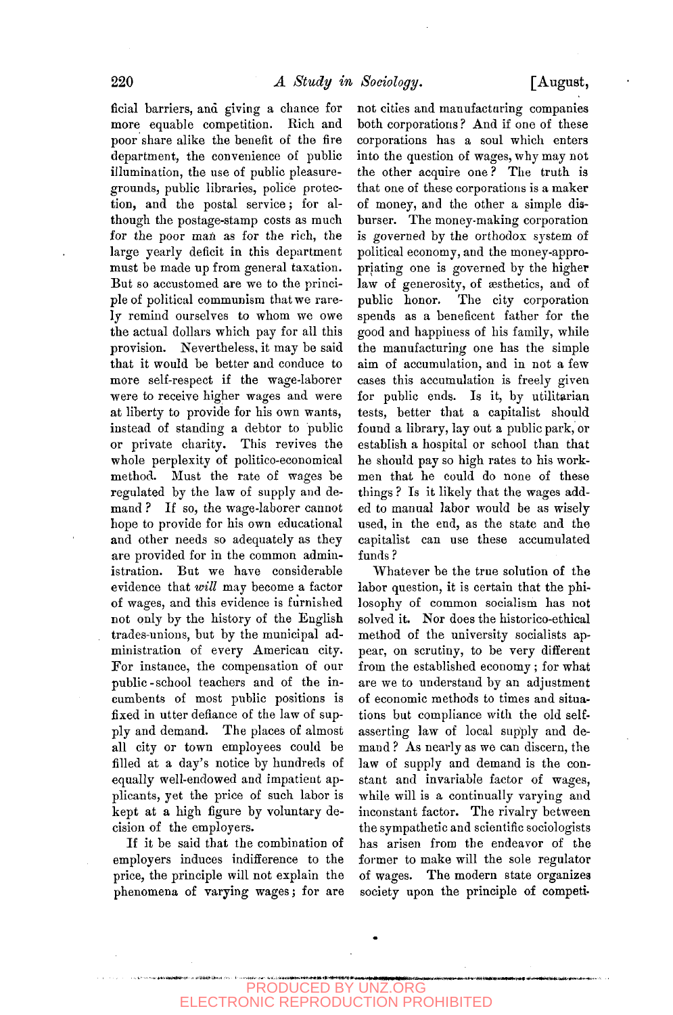ficial barriers, and giving a chance for more equable competition. Rich and poor share alike the benefit of the fire department, the convenience of public illumination, the use of public pleasuregrounds, public libraries, police protection, and the postal service; for although the postage-stamp costs as much for the poor man as for the rich, the large yearly deficit in this department must be made up from general taxation. But so accustomed are we to the principle of political communism that we rarely remind ourselves to whom we owe the actual dollars which pay for all this provision. Nevertheless, it may be said that it would be better and conduce to more self-respect if the wage-laborer were to receive higher wages and were at liberty to provide for his own wants, instead of standing a debtor to public or private charity. This revives the whole perplexity of politico-economical method. Must the rate of wages be regulated by the law of supply and demand ? If so, the wage-laborer cannot hope to provide for his own educational and other needs so adequately as they are provided for in the common administration. But we have considerable evidence that *will* may become a factor of wages, and this evidence is furnished not only by the history of the English trades-unions, but by the municipal administration of every American city. For instance, the compensation of our public - school teachers and of the incumbents of most public positions is fixed in utter defiance of the law of supply and demand. The places of almost all city or town employees could be filled at a day's notice by hundreds of equally well-endowed and impatient applicants, yet the price of such labor is kept at a high figure by voluntary decision of the employers.

If it be said that the combination of employers induces indifference to the price, the principle will not explain the phenomena of varying wages; for are not cities and manufacturing companies both corporations ? And if one of these corporations has a soul which enters into the question of wages, why may not the other acquire one ? The truth is that one of these corporations is a maker of money, and the other a simple disburser. The money-making corporation is governed by the orthodox system of political economy, and the money-appropriating one is governed by the higher law of generosity, of aesthetics, and of public honor. The city corporation spends as a beneficent father for the good and happiness of his family, while the manufacturing one has the simple aim of accumulation, and in not a few cases this accumulation is freely given for public ends. Is it, by utilitarian tests, better that a capitalist should found a library, lay out a public park, or establish a hospital or school than that he should pay so high rates to his workmen that he could do none of these things ? Is it likely that the wages added to manual labor would be as wisely used, in the end, as the state and the capitalist can use these accumulated funds ?

Whatever be the true solution of the labor question, it is certain that the philosophy of common socialism has not solved it. Nor does the historico-ethical method of the university socialists appear, on scrutiny, to be very different from the established economy ; for what are we to understand by an adjustment of economic methods to times and situations but compliance with the old selfasserting law of local supply and demand ? As nearly as we can discern, the law of supply and demand is the constant and invariable factor of wages, while will is a continually varying and inconstant factor. The rivalry between the sympathetic and scientific sociologists has arisen from the endeavor of the former to make will the sole regulator of wages. The modern state organizes society upon the principle of competi